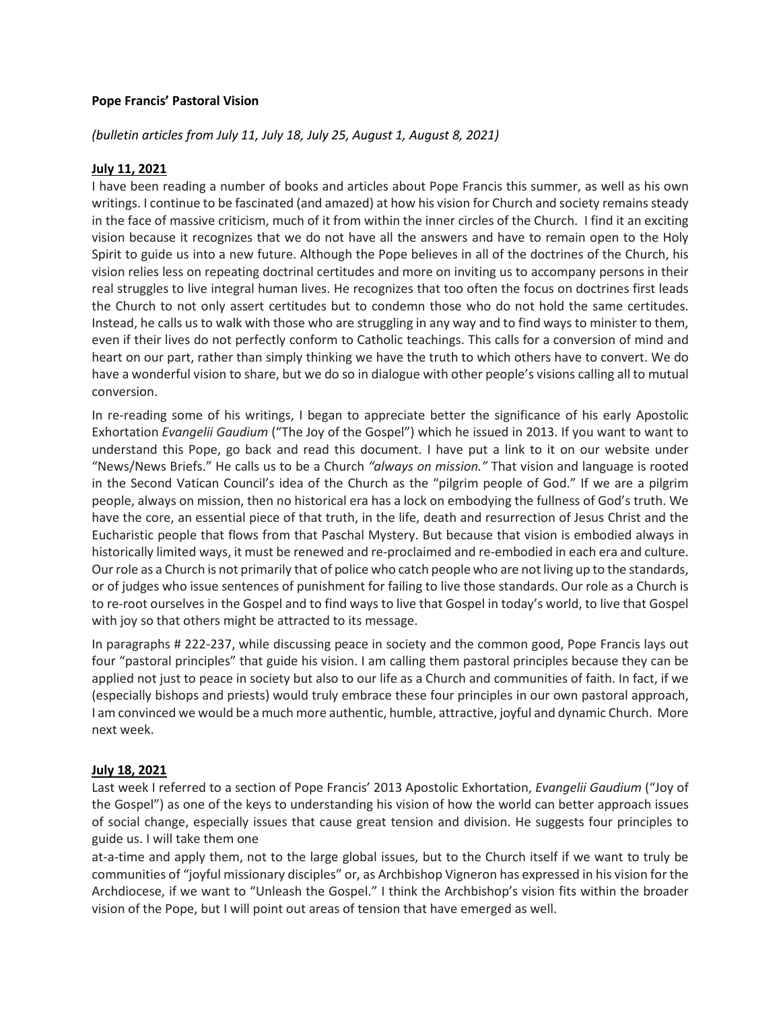#### **Pope Francis' Pastoral Vision**

## *(bulletin articles from July 11, July 18, July 25, August 1, August 8, 2021)*

#### **July 11, 2021**

I have been reading a number of books and articles about Pope Francis this summer, as well as his own writings. I continue to be fascinated (and amazed) at how his vision for Church and society remains steady in the face of massive criticism, much of it from within the inner circles of the Church. I find it an exciting vision because it recognizes that we do not have all the answers and have to remain open to the Holy Spirit to guide us into a new future. Although the Pope believes in all of the doctrines of the Church, his vision relies less on repeating doctrinal certitudes and more on inviting us to accompany persons in their real struggles to live integral human lives. He recognizes that too often the focus on doctrines first leads the Church to not only assert certitudes but to condemn those who do not hold the same certitudes. Instead, he calls us to walk with those who are struggling in any way and to find ways to minister to them, even if their lives do not perfectly conform to Catholic teachings. This calls for a conversion of mind and heart on our part, rather than simply thinking we have the truth to which others have to convert. We do have a wonderful vision to share, but we do so in dialogue with other people's visions calling all to mutual conversion.

In re-reading some of his writings, I began to appreciate better the significance of his early Apostolic Exhortation *Evangelii Gaudium* ("The Joy of the Gospel") which he issued in 2013. If you want to want to understand this Pope, go back and read this document. I have put a link to it on our website under "News/News Briefs." He calls us to be a Church *"always on mission."* That vision and language is rooted in the Second Vatican Council's idea of the Church as the "pilgrim people of God." If we are a pilgrim people, always on mission, then no historical era has a lock on embodying the fullness of God's truth. We have the core, an essential piece of that truth, in the life, death and resurrection of Jesus Christ and the Eucharistic people that flows from that Paschal Mystery. But because that vision is embodied always in historically limited ways, it must be renewed and re-proclaimed and re-embodied in each era and culture. Our role as a Church is not primarily that of police who catch people who are not living up to the standards, or of judges who issue sentences of punishment for failing to live those standards. Our role as a Church is to re-root ourselves in the Gospel and to find ways to live that Gospel in today's world, to live that Gospel with joy so that others might be attracted to its message.

In paragraphs # 222-237, while discussing peace in society and the common good, Pope Francis lays out four "pastoral principles" that guide his vision. I am calling them pastoral principles because they can be applied not just to peace in society but also to our life as a Church and communities of faith. In fact, if we (especially bishops and priests) would truly embrace these four principles in our own pastoral approach, I am convinced we would be a much more authentic, humble, attractive, joyful and dynamic Church. More next week.

#### **July 18, 2021**

Last week I referred to a section of Pope Francis' 2013 Apostolic Exhortation, *Evangelii Gaudium* ("Joy of the Gospel") as one of the keys to understanding his vision of how the world can better approach issues of social change, especially issues that cause great tension and division. He suggests four principles to guide us. I will take them one

at-a-time and apply them, not to the large global issues, but to the Church itself if we want to truly be communities of "joyful missionary disciples" or, as Archbishop Vigneron has expressed in his vision for the Archdiocese, if we want to "Unleash the Gospel." I think the Archbishop's vision fits within the broader vision of the Pope, but I will point out areas of tension that have emerged as well.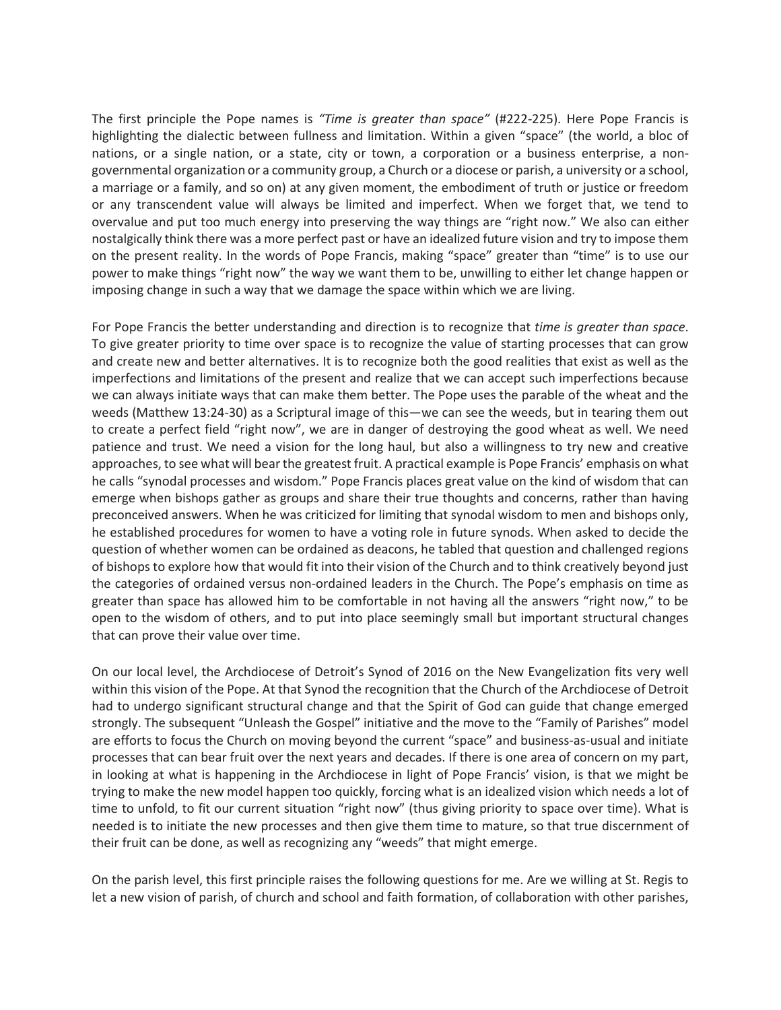The first principle the Pope names is *"Time is greater than space"* (#222-225). Here Pope Francis is highlighting the dialectic between fullness and limitation. Within a given "space" (the world, a bloc of nations, or a single nation, or a state, city or town, a corporation or a business enterprise, a nongovernmental organization or a community group, a Church or a diocese or parish, a university or a school, a marriage or a family, and so on) at any given moment, the embodiment of truth or justice or freedom or any transcendent value will always be limited and imperfect. When we forget that, we tend to overvalue and put too much energy into preserving the way things are "right now." We also can either nostalgically think there was a more perfect past or have an idealized future vision and try to impose them on the present reality. In the words of Pope Francis, making "space" greater than "time" is to use our power to make things "right now" the way we want them to be, unwilling to either let change happen or imposing change in such a way that we damage the space within which we are living.

For Pope Francis the better understanding and direction is to recognize that *time is greater than space*. To give greater priority to time over space is to recognize the value of starting processes that can grow and create new and better alternatives. It is to recognize both the good realities that exist as well as the imperfections and limitations of the present and realize that we can accept such imperfections because we can always initiate ways that can make them better. The Pope uses the parable of the wheat and the weeds (Matthew 13:24-30) as a Scriptural image of this—we can see the weeds, but in tearing them out to create a perfect field "right now", we are in danger of destroying the good wheat as well. We need patience and trust. We need a vision for the long haul, but also a willingness to try new and creative approaches, to see what will bear the greatest fruit. A practical example is Pope Francis' emphasis on what he calls "synodal processes and wisdom." Pope Francis places great value on the kind of wisdom that can emerge when bishops gather as groups and share their true thoughts and concerns, rather than having preconceived answers. When he was criticized for limiting that synodal wisdom to men and bishops only, he established procedures for women to have a voting role in future synods. When asked to decide the question of whether women can be ordained as deacons, he tabled that question and challenged regions of bishops to explore how that would fit into their vision of the Church and to think creatively beyond just the categories of ordained versus non-ordained leaders in the Church. The Pope's emphasis on time as greater than space has allowed him to be comfortable in not having all the answers "right now," to be open to the wisdom of others, and to put into place seemingly small but important structural changes that can prove their value over time.

On our local level, the Archdiocese of Detroit's Synod of 2016 on the New Evangelization fits very well within this vision of the Pope. At that Synod the recognition that the Church of the Archdiocese of Detroit had to undergo significant structural change and that the Spirit of God can guide that change emerged strongly. The subsequent "Unleash the Gospel" initiative and the move to the "Family of Parishes" model are efforts to focus the Church on moving beyond the current "space" and business-as-usual and initiate processes that can bear fruit over the next years and decades. If there is one area of concern on my part, in looking at what is happening in the Archdiocese in light of Pope Francis' vision, is that we might be trying to make the new model happen too quickly, forcing what is an idealized vision which needs a lot of time to unfold, to fit our current situation "right now" (thus giving priority to space over time). What is needed is to initiate the new processes and then give them time to mature, so that true discernment of their fruit can be done, as well as recognizing any "weeds" that might emerge.

On the parish level, this first principle raises the following questions for me. Are we willing at St. Regis to let a new vision of parish, of church and school and faith formation, of collaboration with other parishes,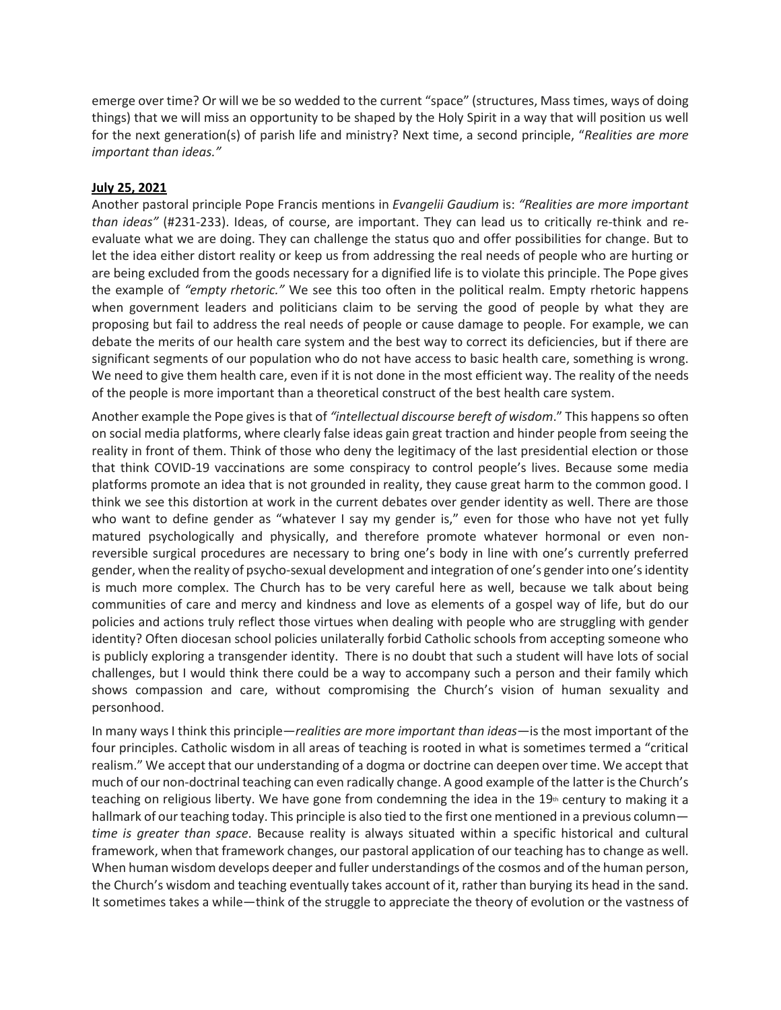emerge over time? Or will we be so wedded to the current "space" (structures, Mass times, ways of doing things) that we will miss an opportunity to be shaped by the Holy Spirit in a way that will position us well for the next generation(s) of parish life and ministry? Next time, a second principle, "*Realities are more important than ideas."*

## **July 25, 2021**

Another pastoral principle Pope Francis mentions in *Evangelii Gaudium* is: *"Realities are more important than ideas"* (#231-233). Ideas, of course, are important. They can lead us to critically re-think and reevaluate what we are doing. They can challenge the status quo and offer possibilities for change. But to let the idea either distort reality or keep us from addressing the real needs of people who are hurting or are being excluded from the goods necessary for a dignified life is to violate this principle. The Pope gives the example of *"empty rhetoric."* We see this too often in the political realm. Empty rhetoric happens when government leaders and politicians claim to be serving the good of people by what they are proposing but fail to address the real needs of people or cause damage to people. For example, we can debate the merits of our health care system and the best way to correct its deficiencies, but if there are significant segments of our population who do not have access to basic health care, something is wrong. We need to give them health care, even if it is not done in the most efficient way. The reality of the needs of the people is more important than a theoretical construct of the best health care system.

Another example the Pope gives is that of *"intellectual discourse bereft of wisdom*." This happens so often on social media platforms, where clearly false ideas gain great traction and hinder people from seeing the reality in front of them. Think of those who deny the legitimacy of the last presidential election or those that think COVID-19 vaccinations are some conspiracy to control people's lives. Because some media platforms promote an idea that is not grounded in reality, they cause great harm to the common good. I think we see this distortion at work in the current debates over gender identity as well. There are those who want to define gender as "whatever I say my gender is," even for those who have not yet fully matured psychologically and physically, and therefore promote whatever hormonal or even nonreversible surgical procedures are necessary to bring one's body in line with one's currently preferred gender, when the reality of psycho-sexual development and integration of one's gender into one's identity is much more complex. The Church has to be very careful here as well, because we talk about being communities of care and mercy and kindness and love as elements of a gospel way of life, but do our policies and actions truly reflect those virtues when dealing with people who are struggling with gender identity? Often diocesan school policies unilaterally forbid Catholic schools from accepting someone who is publicly exploring a transgender identity. There is no doubt that such a student will have lots of social challenges, but I would think there could be a way to accompany such a person and their family which shows compassion and care, without compromising the Church's vision of human sexuality and personhood.

In many ways I think this principle—*realities are more important than ideas*—is the most important of the four principles. Catholic wisdom in all areas of teaching is rooted in what is sometimes termed a "critical realism." We accept that our understanding of a dogma or doctrine can deepen over time. We accept that much of our non-doctrinal teaching can even radically change. A good example of the latter is the Church's teaching on religious liberty. We have gone from condemning the idea in the  $19<sup>th</sup>$  century to making it a hallmark of our teaching today. This principle is also tied to the first one mentioned in a previous column *time is greater than space*. Because reality is always situated within a specific historical and cultural framework, when that framework changes, our pastoral application of our teaching has to change as well. When human wisdom develops deeper and fuller understandings of the cosmos and of the human person, the Church's wisdom and teaching eventually takes account of it, rather than burying its head in the sand. It sometimes takes a while—think of the struggle to appreciate the theory of evolution or the vastness of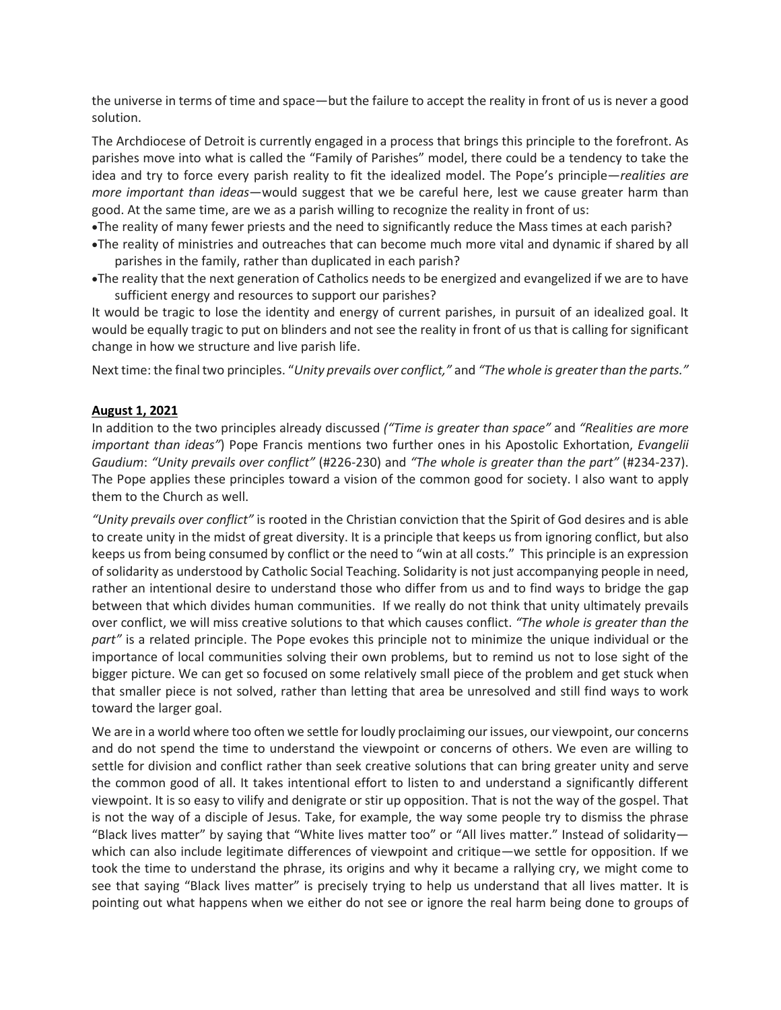the universe in terms of time and space—but the failure to accept the reality in front of us is never a good solution.

The Archdiocese of Detroit is currently engaged in a process that brings this principle to the forefront. As parishes move into what is called the "Family of Parishes" model, there could be a tendency to take the idea and try to force every parish reality to fit the idealized model. The Pope's principle—*realities are more important than ideas*—would suggest that we be careful here, lest we cause greater harm than good. At the same time, are we as a parish willing to recognize the reality in front of us:

•The reality of many fewer priests and the need to significantly reduce the Mass times at each parish?

- •The reality of ministries and outreaches that can become much more vital and dynamic if shared by all parishes in the family, rather than duplicated in each parish?
- •The reality that the next generation of Catholics needs to be energized and evangelized if we are to have sufficient energy and resources to support our parishes?

It would be tragic to lose the identity and energy of current parishes, in pursuit of an idealized goal. It would be equally tragic to put on blinders and not see the reality in front of us that is calling for significant change in how we structure and live parish life.

Next time: the final two principles. "*Unity prevails over conflict,"* and *"The whole is greater than the parts."*

# **August 1, 2021**

In addition to the two principles already discussed *("Time is greater than space"* and *"Realities are more important than ideas"*) Pope Francis mentions two further ones in his Apostolic Exhortation, *Evangelii Gaudium*: *"Unity prevails over conflict"* (#226-230) and *"The whole is greater than the part"* (#234-237). The Pope applies these principles toward a vision of the common good for society. I also want to apply them to the Church as well.

*"Unity prevails over conflict"* is rooted in the Christian conviction that the Spirit of God desires and is able to create unity in the midst of great diversity. It is a principle that keeps us from ignoring conflict, but also keeps us from being consumed by conflict or the need to "win at all costs." This principle is an expression of solidarity as understood by Catholic Social Teaching. Solidarity is not just accompanying people in need, rather an intentional desire to understand those who differ from us and to find ways to bridge the gap between that which divides human communities. If we really do not think that unity ultimately prevails over conflict, we will miss creative solutions to that which causes conflict. *"The whole is greater than the part"* is a related principle. The Pope evokes this principle not to minimize the unique individual or the importance of local communities solving their own problems, but to remind us not to lose sight of the bigger picture. We can get so focused on some relatively small piece of the problem and get stuck when that smaller piece is not solved, rather than letting that area be unresolved and still find ways to work toward the larger goal.

We are in a world where too often we settle for loudly proclaiming our issues, our viewpoint, our concerns and do not spend the time to understand the viewpoint or concerns of others. We even are willing to settle for division and conflict rather than seek creative solutions that can bring greater unity and serve the common good of all. It takes intentional effort to listen to and understand a significantly different viewpoint. It is so easy to vilify and denigrate or stir up opposition. That is not the way of the gospel. That is not the way of a disciple of Jesus. Take, for example, the way some people try to dismiss the phrase "Black lives matter" by saying that "White lives matter too" or "All lives matter." Instead of solidarity which can also include legitimate differences of viewpoint and critique—we settle for opposition. If we took the time to understand the phrase, its origins and why it became a rallying cry, we might come to see that saying "Black lives matter" is precisely trying to help us understand that all lives matter. It is pointing out what happens when we either do not see or ignore the real harm being done to groups of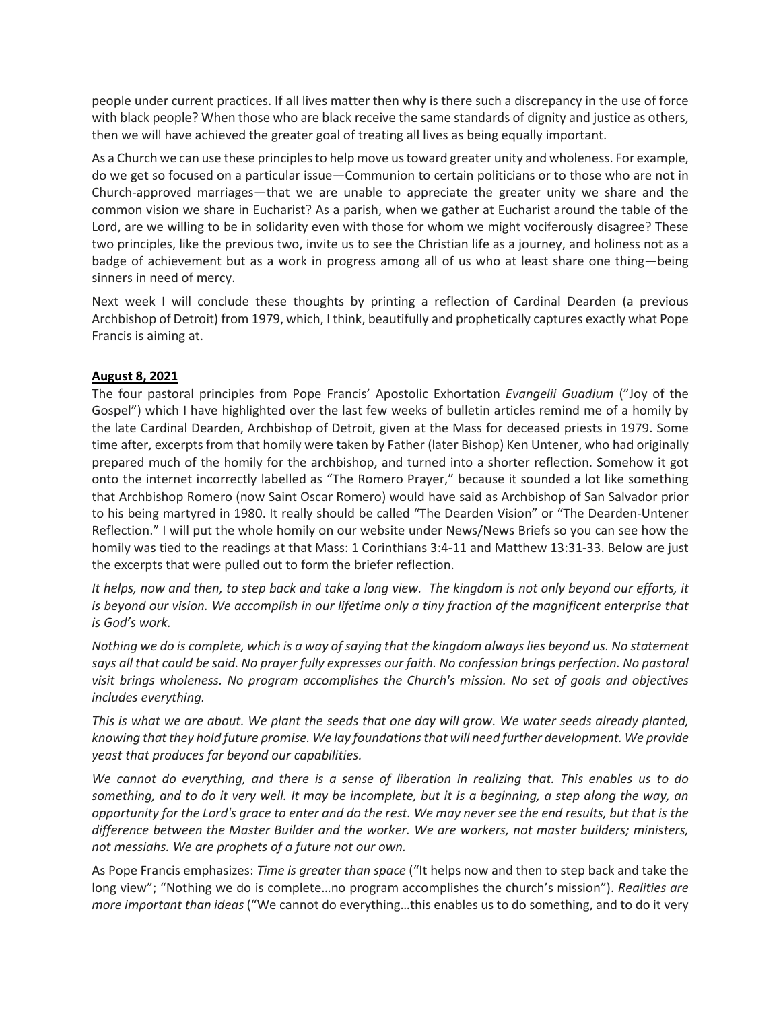people under current practices. If all lives matter then why is there such a discrepancy in the use of force with black people? When those who are black receive the same standards of dignity and justice as others, then we will have achieved the greater goal of treating all lives as being equally important.

As a Church we can use these principles to help move us toward greater unity and wholeness. For example, do we get so focused on a particular issue—Communion to certain politicians or to those who are not in Church-approved marriages—that we are unable to appreciate the greater unity we share and the common vision we share in Eucharist? As a parish, when we gather at Eucharist around the table of the Lord, are we willing to be in solidarity even with those for whom we might vociferously disagree? These two principles, like the previous two, invite us to see the Christian life as a journey, and holiness not as a badge of achievement but as a work in progress among all of us who at least share one thing—being sinners in need of mercy.

Next week I will conclude these thoughts by printing a reflection of Cardinal Dearden (a previous Archbishop of Detroit) from 1979, which, I think, beautifully and prophetically captures exactly what Pope Francis is aiming at.

# **August 8, 2021**

The four pastoral principles from Pope Francis' Apostolic Exhortation *Evangelii Guadium* ("Joy of the Gospel") which I have highlighted over the last few weeks of bulletin articles remind me of a homily by the late Cardinal Dearden, Archbishop of Detroit, given at the Mass for deceased priests in 1979. Some time after, excerpts from that homily were taken by Father (later Bishop) Ken Untener, who had originally prepared much of the homily for the archbishop, and turned into a shorter reflection. Somehow it got onto the internet incorrectly labelled as "The Romero Prayer," because it sounded a lot like something that Archbishop Romero (now Saint Oscar Romero) would have said as Archbishop of San Salvador prior to his being martyred in 1980. It really should be called "The Dearden Vision" or "The Dearden-Untener Reflection." I will put the whole homily on our website under News/News Briefs so you can see how the homily was tied to the readings at that Mass: 1 Corinthians 3:4-11 and Matthew 13:31-33. Below are just the excerpts that were pulled out to form the briefer reflection.

*It helps, now and then, to step back and take a long view. The kingdom is not only beyond our efforts, it is beyond our vision. We accomplish in our lifetime only a tiny fraction of the magnificent enterprise that is God's work.*

*Nothing we do is complete, which is a way of saying that the kingdom always lies beyond us. No statement*  says all that could be said. No prayer fully expresses our faith. No confession brings perfection. No pastoral *visit brings wholeness. No program accomplishes the Church's mission. No set of goals and objectives includes everything.*

*This is what we are about. We plant the seeds that one day will grow. We water seeds already planted, knowing that they hold future promise. We lay foundations that will need further development. We provide yeast that produces far beyond our capabilities.*

*We cannot do everything, and there is a sense of liberation in realizing that. This enables us to do something, and to do it very well. It may be incomplete, but it is a beginning, a step along the way, an opportunity for the Lord's grace to enter and do the rest. We may never see the end results, but that is the difference between the Master Builder and the worker. We are workers, not master builders; ministers, not messiahs. We are prophets of a future not our own.*

As Pope Francis emphasizes: *Time is greater than space* ("It helps now and then to step back and take the long view"; "Nothing we do is complete…no program accomplishes the church's mission"). *Realities are more important than ideas* ("We cannot do everything…this enables us to do something, and to do it very